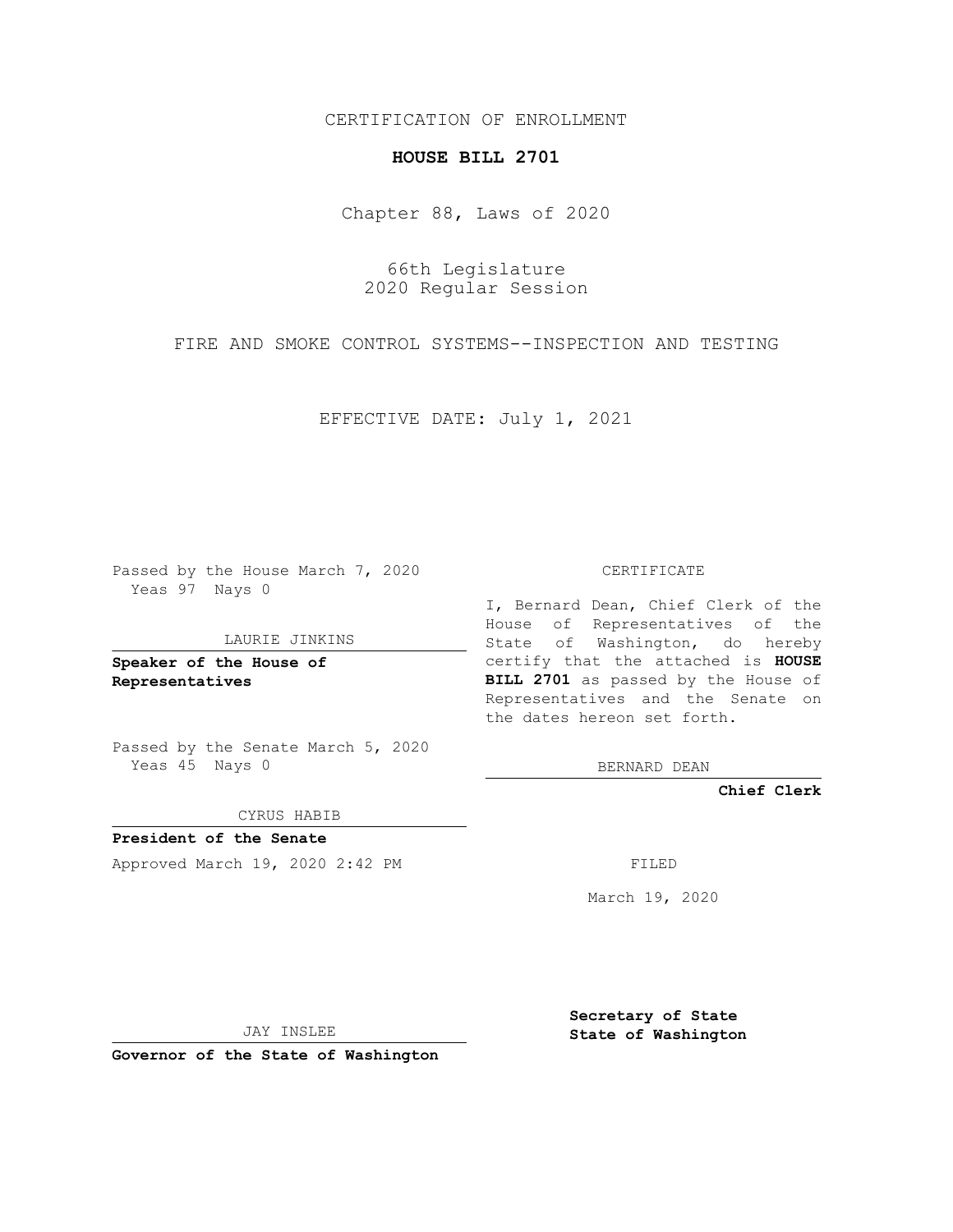## CERTIFICATION OF ENROLLMENT

# **HOUSE BILL 2701**

Chapter 88, Laws of 2020

66th Legislature 2020 Regular Session

FIRE AND SMOKE CONTROL SYSTEMS--INSPECTION AND TESTING

EFFECTIVE DATE: July 1, 2021

Passed by the House March 7, 2020 Yeas 97 Nays 0

#### LAURIE JINKINS

**Speaker of the House of Representatives**

Passed by the Senate March 5, 2020 Yeas 45 Nays 0

CYRUS HABIB

**President of the Senate** Approved March 19, 2020 2:42 PM FILED

CERTIFICATE

I, Bernard Dean, Chief Clerk of the House of Representatives of the State of Washington, do hereby certify that the attached is **HOUSE BILL 2701** as passed by the House of Representatives and the Senate on the dates hereon set forth.

BERNARD DEAN

**Chief Clerk**

March 19, 2020

JAY INSLEE

**Governor of the State of Washington**

**Secretary of State State of Washington**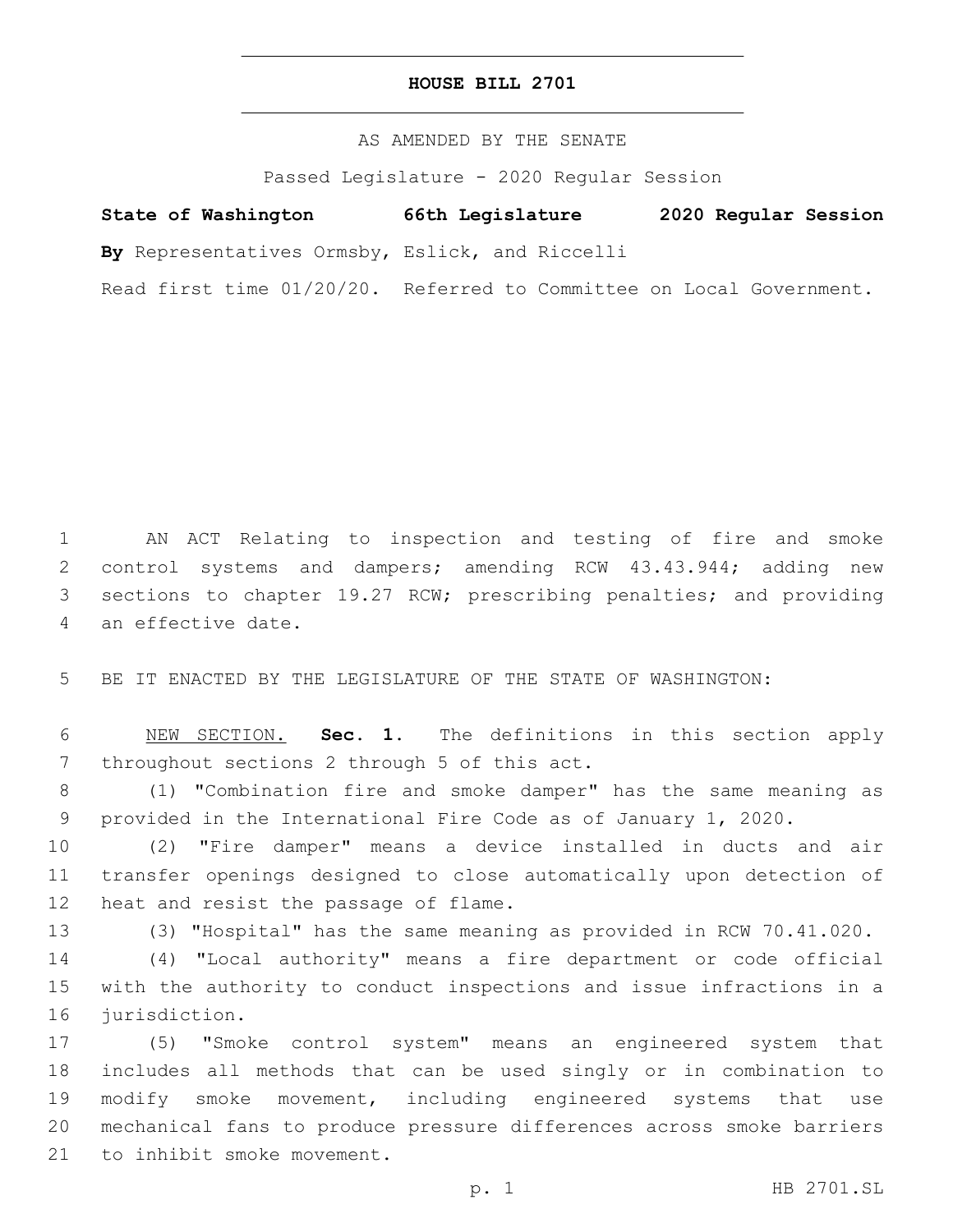### **HOUSE BILL 2701**

## AS AMENDED BY THE SENATE

Passed Legislature - 2020 Regular Session

# **State of Washington 66th Legislature 2020 Regular Session**

**By** Representatives Ormsby, Eslick, and Riccelli

Read first time 01/20/20. Referred to Committee on Local Government.

 AN ACT Relating to inspection and testing of fire and smoke control systems and dampers; amending RCW 43.43.944; adding new sections to chapter 19.27 RCW; prescribing penalties; and providing 4 an effective date.

BE IT ENACTED BY THE LEGISLATURE OF THE STATE OF WASHINGTON:

 NEW SECTION. **Sec. 1.** The definitions in this section apply throughout sections 2 through 5 of this act.

 (1) "Combination fire and smoke damper" has the same meaning as provided in the International Fire Code as of January 1, 2020.

 (2) "Fire damper" means a device installed in ducts and air transfer openings designed to close automatically upon detection of 12 heat and resist the passage of flame.

(3) "Hospital" has the same meaning as provided in RCW 70.41.020.

 (4) "Local authority" means a fire department or code official with the authority to conduct inspections and issue infractions in a 16 jurisdiction.

 (5) "Smoke control system" means an engineered system that includes all methods that can be used singly or in combination to modify smoke movement, including engineered systems that use mechanical fans to produce pressure differences across smoke barriers 21 to inhibit smoke movement.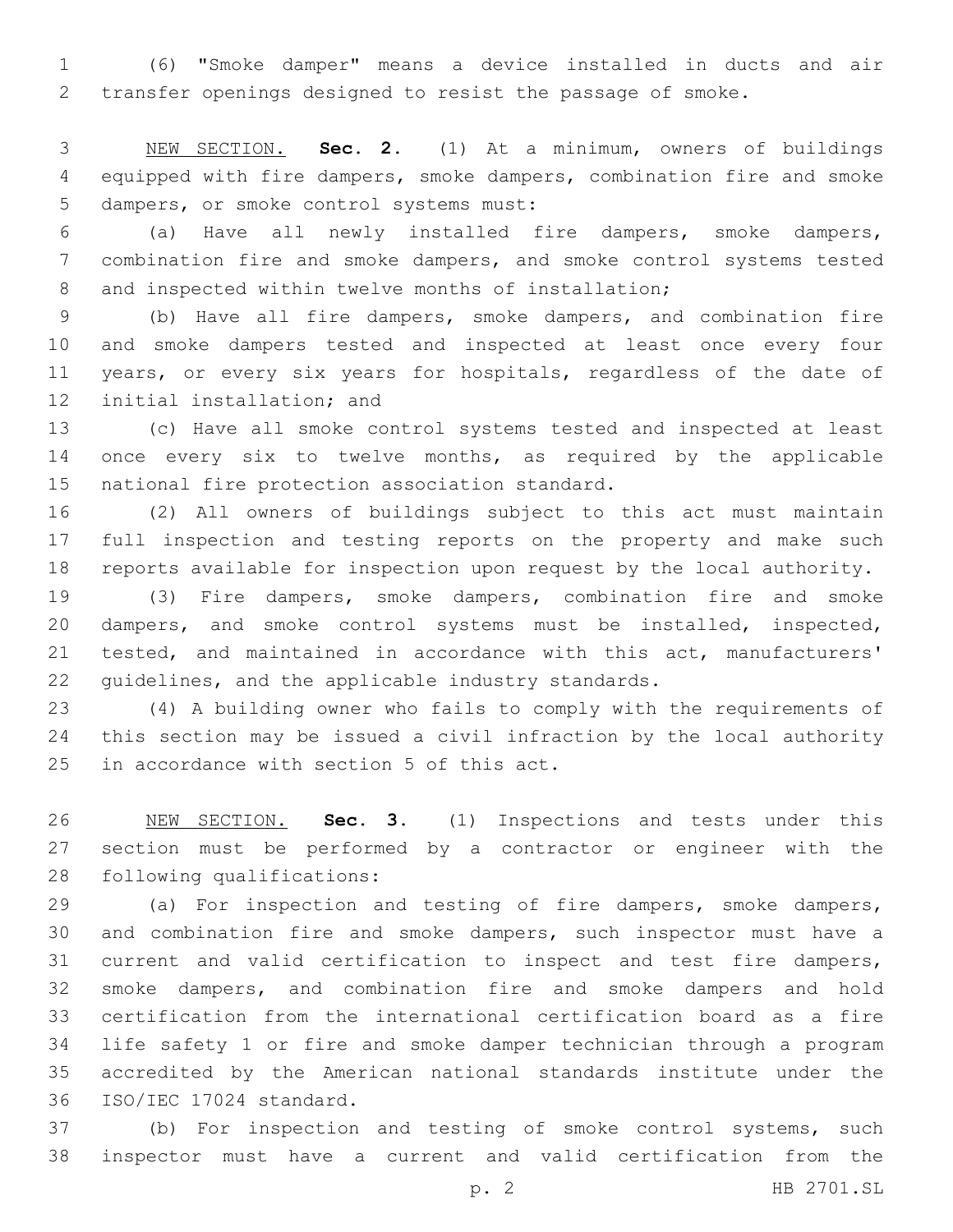(6) "Smoke damper" means a device installed in ducts and air transfer openings designed to resist the passage of smoke.

 NEW SECTION. **Sec. 2.** (1) At a minimum, owners of buildings equipped with fire dampers, smoke dampers, combination fire and smoke dampers, or smoke control systems must:

 (a) Have all newly installed fire dampers, smoke dampers, combination fire and smoke dampers, and smoke control systems tested 8 and inspected within twelve months of installation;

 (b) Have all fire dampers, smoke dampers, and combination fire and smoke dampers tested and inspected at least once every four 11 years, or every six years for hospitals, regardless of the date of 12 initial installation; and

 (c) Have all smoke control systems tested and inspected at least 14 once every six to twelve months, as required by the applicable 15 national fire protection association standard.

 (2) All owners of buildings subject to this act must maintain full inspection and testing reports on the property and make such reports available for inspection upon request by the local authority.

 (3) Fire dampers, smoke dampers, combination fire and smoke dampers, and smoke control systems must be installed, inspected, tested, and maintained in accordance with this act, manufacturers' guidelines, and the applicable industry standards.

 (4) A building owner who fails to comply with the requirements of this section may be issued a civil infraction by the local authority 25 in accordance with section 5 of this act.

 NEW SECTION. **Sec. 3.** (1) Inspections and tests under this section must be performed by a contractor or engineer with the following qualifications:

 (a) For inspection and testing of fire dampers, smoke dampers, and combination fire and smoke dampers, such inspector must have a current and valid certification to inspect and test fire dampers, smoke dampers, and combination fire and smoke dampers and hold certification from the international certification board as a fire life safety 1 or fire and smoke damper technician through a program accredited by the American national standards institute under the 36 ISO/IEC 17024 standard.

 (b) For inspection and testing of smoke control systems, such inspector must have a current and valid certification from the

p. 2 HB 2701.SL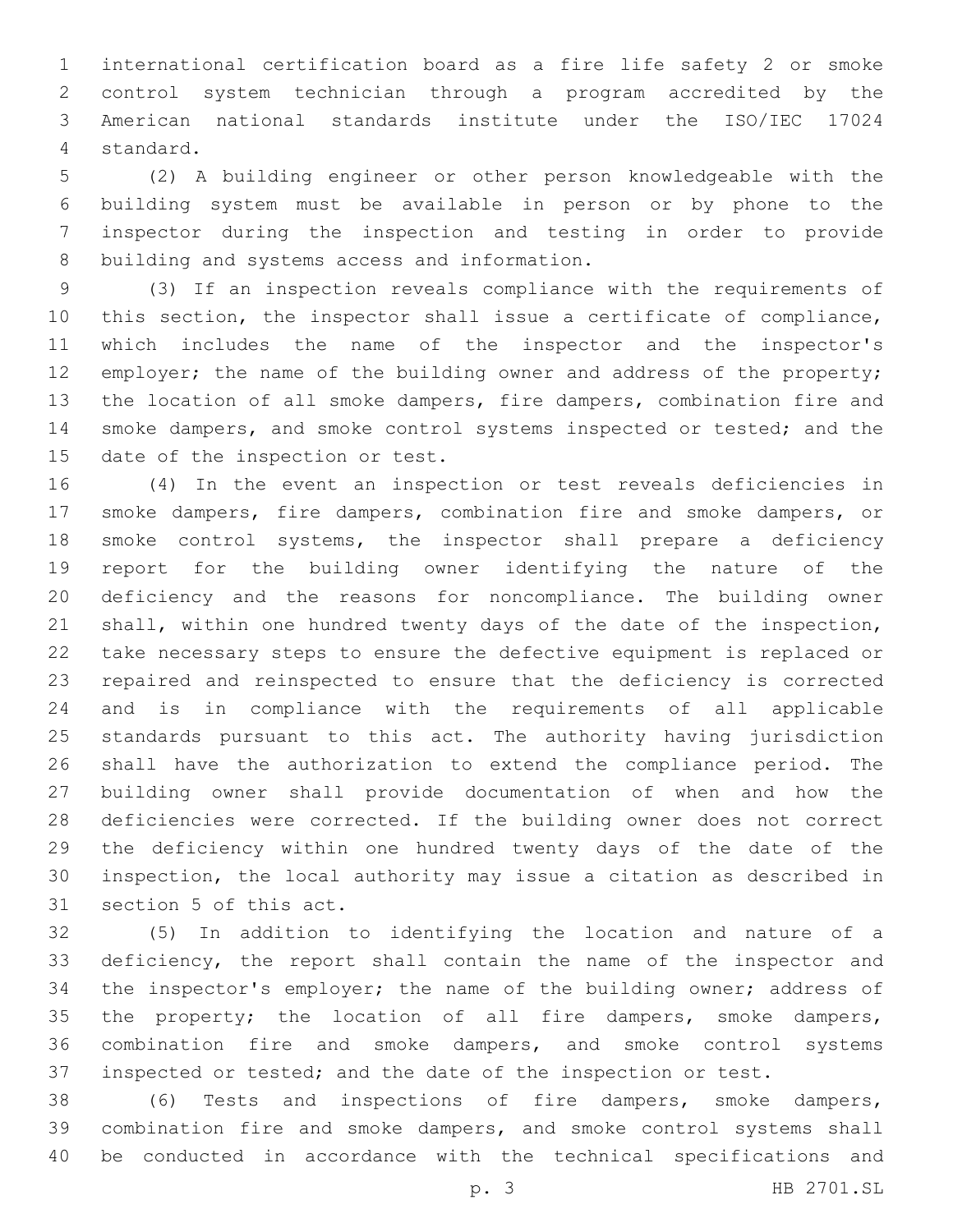international certification board as a fire life safety 2 or smoke control system technician through a program accredited by the American national standards institute under the ISO/IEC 17024 4 standard.

 (2) A building engineer or other person knowledgeable with the building system must be available in person or by phone to the inspector during the inspection and testing in order to provide 8 building and systems access and information.

 (3) If an inspection reveals compliance with the requirements of this section, the inspector shall issue a certificate of compliance, which includes the name of the inspector and the inspector's 12 employer; the name of the building owner and address of the property; the location of all smoke dampers, fire dampers, combination fire and 14 smoke dampers, and smoke control systems inspected or tested; and the 15 date of the inspection or test.

 (4) In the event an inspection or test reveals deficiencies in smoke dampers, fire dampers, combination fire and smoke dampers, or smoke control systems, the inspector shall prepare a deficiency report for the building owner identifying the nature of the deficiency and the reasons for noncompliance. The building owner shall, within one hundred twenty days of the date of the inspection, take necessary steps to ensure the defective equipment is replaced or repaired and reinspected to ensure that the deficiency is corrected and is in compliance with the requirements of all applicable standards pursuant to this act. The authority having jurisdiction shall have the authorization to extend the compliance period. The building owner shall provide documentation of when and how the deficiencies were corrected. If the building owner does not correct the deficiency within one hundred twenty days of the date of the inspection, the local authority may issue a citation as described in 31 section 5 of this act.

 (5) In addition to identifying the location and nature of a deficiency, the report shall contain the name of the inspector and the inspector's employer; the name of the building owner; address of the property; the location of all fire dampers, smoke dampers, combination fire and smoke dampers, and smoke control systems inspected or tested; and the date of the inspection or test.

 (6) Tests and inspections of fire dampers, smoke dampers, combination fire and smoke dampers, and smoke control systems shall be conducted in accordance with the technical specifications and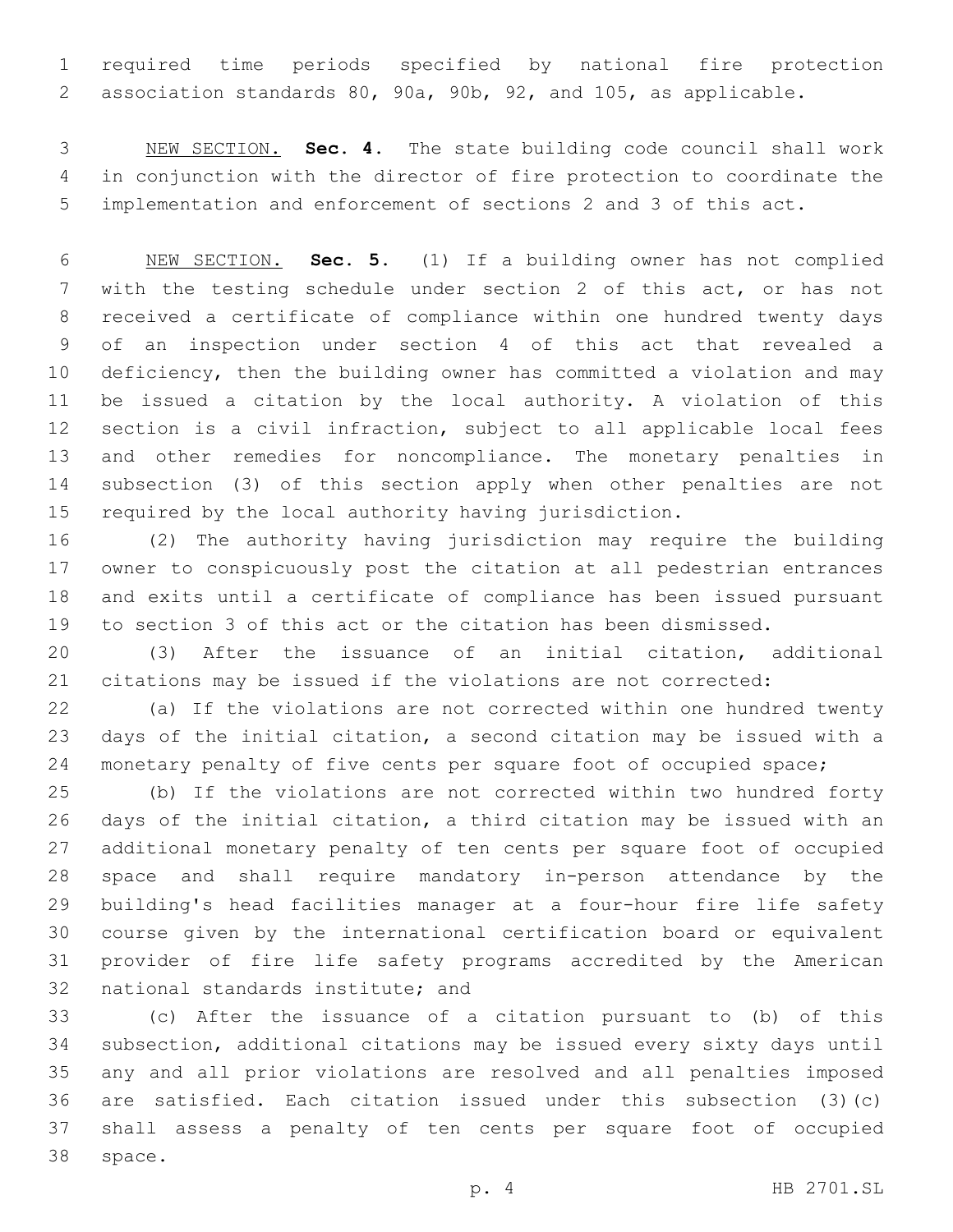required time periods specified by national fire protection association standards 80, 90a, 90b, 92, and 105, as applicable.

 NEW SECTION. **Sec. 4.** The state building code council shall work in conjunction with the director of fire protection to coordinate the implementation and enforcement of sections 2 and 3 of this act.

 NEW SECTION. **Sec. 5.** (1) If a building owner has not complied with the testing schedule under section 2 of this act, or has not received a certificate of compliance within one hundred twenty days of an inspection under section 4 of this act that revealed a deficiency, then the building owner has committed a violation and may be issued a citation by the local authority. A violation of this section is a civil infraction, subject to all applicable local fees and other remedies for noncompliance. The monetary penalties in subsection (3) of this section apply when other penalties are not required by the local authority having jurisdiction.

 (2) The authority having jurisdiction may require the building owner to conspicuously post the citation at all pedestrian entrances and exits until a certificate of compliance has been issued pursuant to section 3 of this act or the citation has been dismissed.

 (3) After the issuance of an initial citation, additional citations may be issued if the violations are not corrected:

 (a) If the violations are not corrected within one hundred twenty days of the initial citation, a second citation may be issued with a 24 monetary penalty of five cents per square foot of occupied space;

 (b) If the violations are not corrected within two hundred forty days of the initial citation, a third citation may be issued with an additional monetary penalty of ten cents per square foot of occupied space and shall require mandatory in-person attendance by the building's head facilities manager at a four-hour fire life safety course given by the international certification board or equivalent provider of fire life safety programs accredited by the American 32 national standards institute; and

 (c) After the issuance of a citation pursuant to (b) of this subsection, additional citations may be issued every sixty days until any and all prior violations are resolved and all penalties imposed are satisfied. Each citation issued under this subsection (3)(c) shall assess a penalty of ten cents per square foot of occupied 38 space.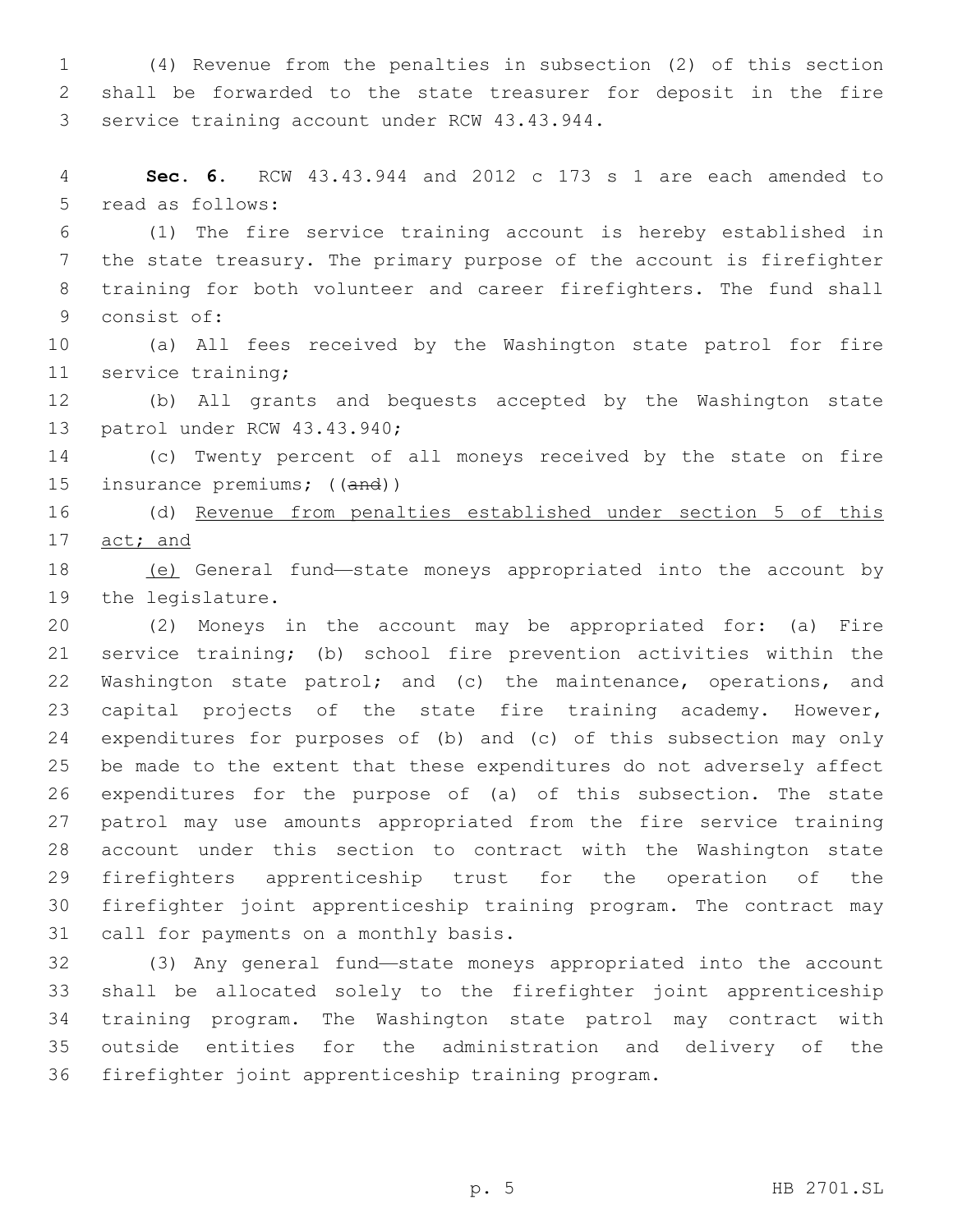(4) Revenue from the penalties in subsection (2) of this section shall be forwarded to the state treasurer for deposit in the fire 3 service training account under RCW 43.43.944.

 **Sec. 6.** RCW 43.43.944 and 2012 c 173 s 1 are each amended to 5 read as follows:

 (1) The fire service training account is hereby established in the state treasury. The primary purpose of the account is firefighter training for both volunteer and career firefighters. The fund shall 9 consist of:

 (a) All fees received by the Washington state patrol for fire 11 service training;

 (b) All grants and bequests accepted by the Washington state 13 patrol under RCW 43.43.940;

 (c) Twenty percent of all moneys received by the state on fire 15 insurance premiums; ((and))

 (d) Revenue from penalties established under section 5 of this act; and

 (e) General fund—state moneys appropriated into the account by 19 the legislature.

 (2) Moneys in the account may be appropriated for: (a) Fire service training; (b) school fire prevention activities within the Washington state patrol; and (c) the maintenance, operations, and capital projects of the state fire training academy. However, expenditures for purposes of (b) and (c) of this subsection may only be made to the extent that these expenditures do not adversely affect expenditures for the purpose of (a) of this subsection. The state patrol may use amounts appropriated from the fire service training account under this section to contract with the Washington state firefighters apprenticeship trust for the operation of the firefighter joint apprenticeship training program. The contract may 31 call for payments on a monthly basis.

 (3) Any general fund—state moneys appropriated into the account shall be allocated solely to the firefighter joint apprenticeship training program. The Washington state patrol may contract with outside entities for the administration and delivery of the firefighter joint apprenticeship training program.